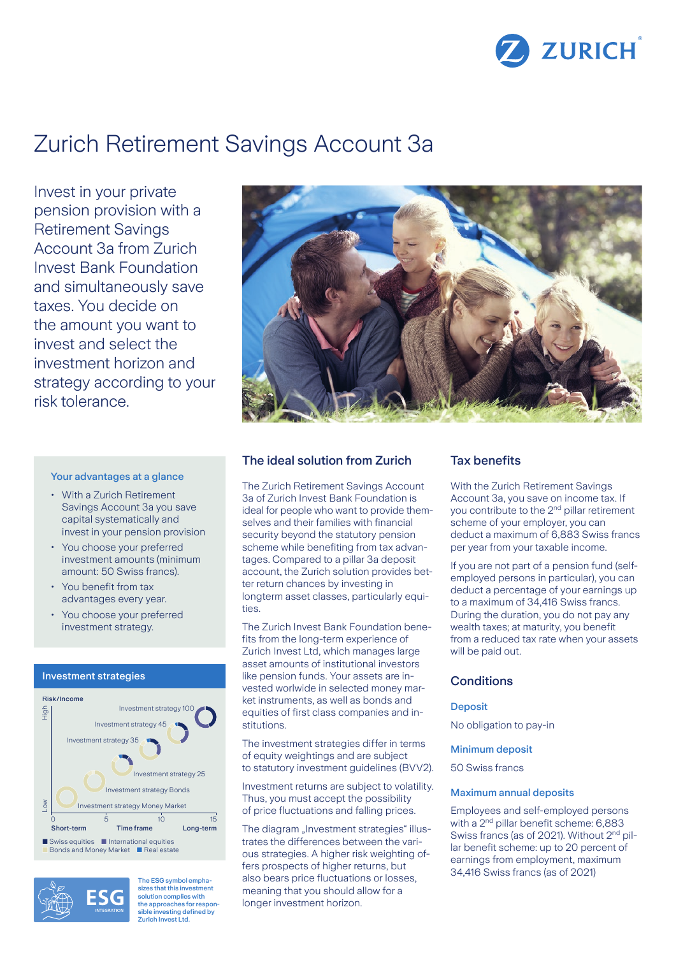

# Zurich Retirement Savings Account 3a

Invest in your private pension provision with a Retirement Savings Account 3a from Zurich Invest Bank Foundation and simultaneously save taxes. You decide on the amount you want to invest and select the investment horizon and strategy according to your risk tolerance.

#### Your advantages at a glance

- With a Zurich Retirement Savings Account 3a you save capital systematically and invest in your pension provision
- You choose your preferred investment amounts (minimum amount: 50 Swiss francs).
- You benefit from tax advantages every year.
- You choose your preferred investment strategy.

#### Investment strategies





The ESG symbol emphasizes that this investment solution complies with [the approaches for respon](https://www.zurichinvest.ch/en/about-us/nachhaltigkeit/sustainable-investment)sible investing defined by Zurich Invest Ltd.



### The ideal solution from Zurich

The Zurich Retirement Savings Account 3a of Zurich Invest Bank Foundation is ideal for people who want to provide themselves and their families with financial security beyond the statutory pension scheme while benefiting from tax advantages. Compared to a pillar 3a deposit account, the Zurich solution provides better return chances by investing in longterm asset classes, particularly equities.

The Zurich Invest Bank Foundation benefits from the long-term experience of Zurich Invest Ltd, which manages large asset amounts of institutional investors like pension funds. Your assets are invested worlwide in selected money market instruments, as well as bonds and equities of first class companies and institutions.

The investment strategies differ in terms of equity weightings and are subject to statutory investment quidelines (BVV2).

Investment returns are subject to volatility. Thus, you must accept the possibility of price fluctuations and falling prices.

The diagram "Investment strategies" illustrates the differences between the various strategies. A higher risk weighting offers prospects of higher returns, but also bears price fluctuations or losses, meaning that you should allow for a longer investment horizon.

#### Tax benefits

With the Zurich Retirement Savings Account 3a, you save on income tax. If you contribute to the 2<sup>nd</sup> pillar retirement scheme of your employer, you can deduct a maximum of 6,883 Swiss francs per year from your taxable income.

If you are not part of a pension fund (selfemployed persons in particular), you can deduct a percentage of your earnings up to a maximum of 34,416 Swiss francs. During the duration, you do not pay any wealth taxes; at maturity, you benefit from a reduced tax rate when your assets will be paid out.

#### **Conditions**

#### **Deposit**

No obligation to pay-in

#### Minimum deposit

50 Swiss francs

#### Maximum annual deposits

Employees and self-employed persons with a 2<sup>nd</sup> pillar benefit scheme: 6,883 Swiss francs (as of 2021). Without 2<sup>nd</sup> pillar benefit scheme: up to 20 percent of earnings from employment, maximum 34,416 Swiss francs (as of 2021)